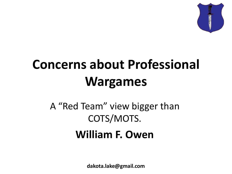

## **Concerns about Professional Wargames**

#### A "Red Team" view bigger than COTS/MOTS. **William F. Owen**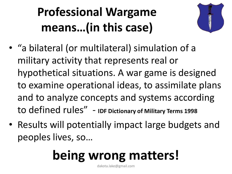### **Professional Wargame means…(in this case)**



- "a bilateral (or multilateral) simulation of a military activity that represents real or hypothetical situations. A war game is designed to examine operational ideas, to assimilate plans and to analyze concepts and systems according to defined rules" - **IDF Dictionary of Military Terms 1998**
- Results will potentially impact large budgets and peoples lives, so…

# **being wrong matters!**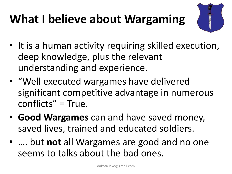### **What I believe about Wargaming**



- It is a human activity requiring skilled execution, deep knowledge, plus the relevant understanding and experience.
- "Well executed wargames have delivered significant competitive advantage in numerous conflicts" = True.
- **Good Wargames** can and have saved money, saved lives, trained and educated soldiers.
- …. but **not** all Wargames are good and no one seems to talks about the bad ones.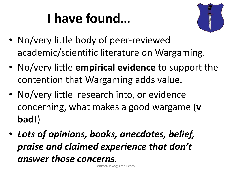## **I have found…**



- No/very little body of peer-reviewed academic/scientific literature on Wargaming.
- No/very little **empirical evidence** to support the contention that Wargaming adds value.
- No/very little research into, or evidence concerning, what makes a good wargame (**v bad**!)
- *Lots of opinions, books, anecdotes, belief, praise and claimed experience that don't answer those concerns*.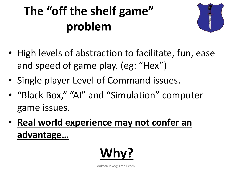### **The "off the shelf game" problem**



- High levels of abstraction to facilitate, fun, ease and speed of game play. (eg: "Hex")
- Single player Level of Command issues.
- "Black Box," "AI" and "Simulation" computer game issues.
- **Real world experience may not confer an advantage…**

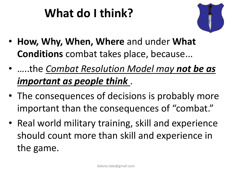### **What do I think?**



- **How, Why, When, Where** and under **What Conditions** combat takes place, because...
- …..the *Combat Resolution Model may not be as important as people think* .
- The consequences of decisions is probably more important than the consequences of "combat."
- Real world military training, skill and experience should count more than skill and experience in the game.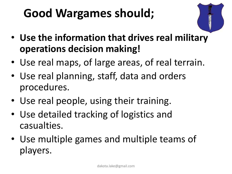### **Good Wargames should;**



- **Use the information that drives real military operations decision making!**
- Use real maps, of large areas, of real terrain.
- Use real planning, staff, data and orders procedures.
- Use real people, using their training.
- Use detailed tracking of logistics and casualties.
- Use multiple games and multiple teams of players.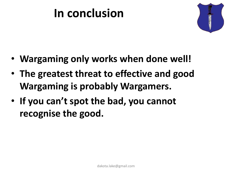#### **In conclusion**



- **Wargaming only works when done well!**
- **The greatest threat to effective and good Wargaming is probably Wargamers.**
- **If you can't spot the bad, you cannot recognise the good.**